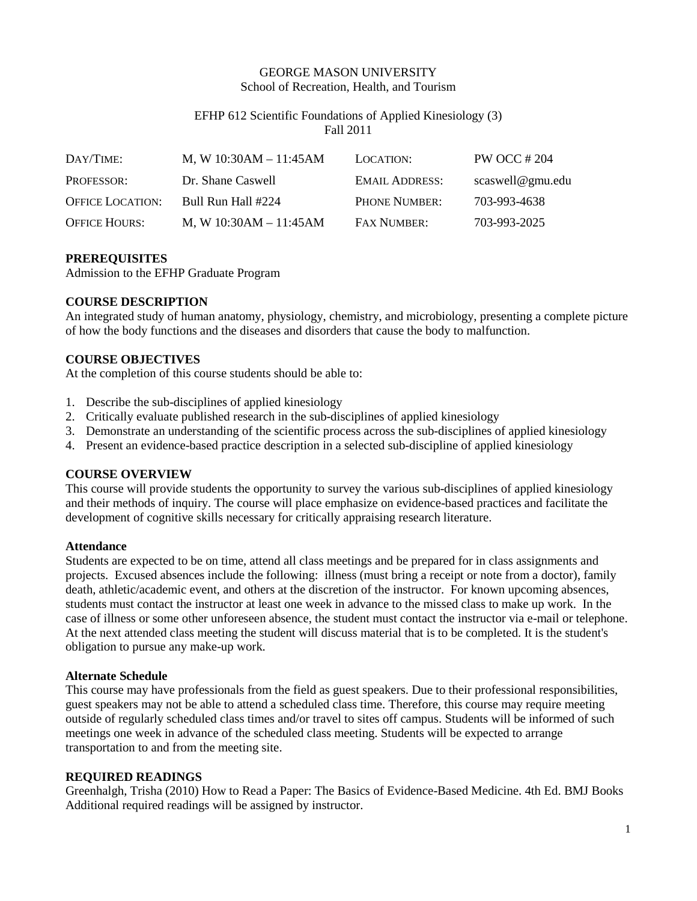## GEORGE MASON UNIVERSITY School of Recreation, Health, and Tourism

## EFHP 612 Scientific Foundations of Applied Kinesiology (3) Fall 2011

| DAY/TIME:               | M, W $10:30AM - 11:45AM$ | LOCATION:             | PW OCC # 204     |
|-------------------------|--------------------------|-----------------------|------------------|
| PROFESSOR:              | Dr. Shane Caswell        | <b>EMAIL ADDRESS:</b> | scaswell@gmu.edu |
| <b>OFFICE LOCATION:</b> | Bull Run Hall #224       | <b>PHONE NUMBER:</b>  | 703-993-4638     |
| <b>OFFICE HOURS:</b>    | M, W $10:30AM - 11:45AM$ | <b>FAX NUMBER:</b>    | 703-993-2025     |

### **PREREQUISITES**

Admission to the EFHP Graduate Program

## **COURSE DESCRIPTION**

An integrated study of human anatomy, physiology, chemistry, and microbiology, presenting a complete picture of how the body functions and the diseases and disorders that cause the body to malfunction.

## **COURSE OBJECTIVES**

At the completion of this course students should be able to:

- 1. Describe the sub-disciplines of applied kinesiology
- 2. Critically evaluate published research in the sub-disciplines of applied kinesiology
- 3. Demonstrate an understanding of the scientific process across the sub-disciplines of applied kinesiology
- 4. Present an evidence-based practice description in a selected sub-discipline of applied kinesiology

### **COURSE OVERVIEW**

This course will provide students the opportunity to survey the various sub-disciplines of applied kinesiology and their methods of inquiry. The course will place emphasize on evidence-based practices and facilitate the development of cognitive skills necessary for critically appraising research literature.

### **Attendance**

Students are expected to be on time, attend all class meetings and be prepared for in class assignments and projects. Excused absences include the following: illness (must bring a receipt or note from a doctor), family death, athletic/academic event, and others at the discretion of the instructor. For known upcoming absences, students must contact the instructor at least one week in advance to the missed class to make up work. In the case of illness or some other unforeseen absence, the student must contact the instructor via e-mail or telephone. At the next attended class meeting the student will discuss material that is to be completed. It is the student's obligation to pursue any make-up work.

### **Alternate Schedule**

This course may have professionals from the field as guest speakers. Due to their professional responsibilities, guest speakers may not be able to attend a scheduled class time. Therefore, this course may require meeting outside of regularly scheduled class times and/or travel to sites off campus. Students will be informed of such meetings one week in advance of the scheduled class meeting. Students will be expected to arrange transportation to and from the meeting site.

### **REQUIRED READINGS**

Greenhalgh, Trisha (2010) How to Read a Paper: The Basics of Evidence-Based Medicine. 4th Ed. BMJ Books Additional required readings will be assigned by instructor.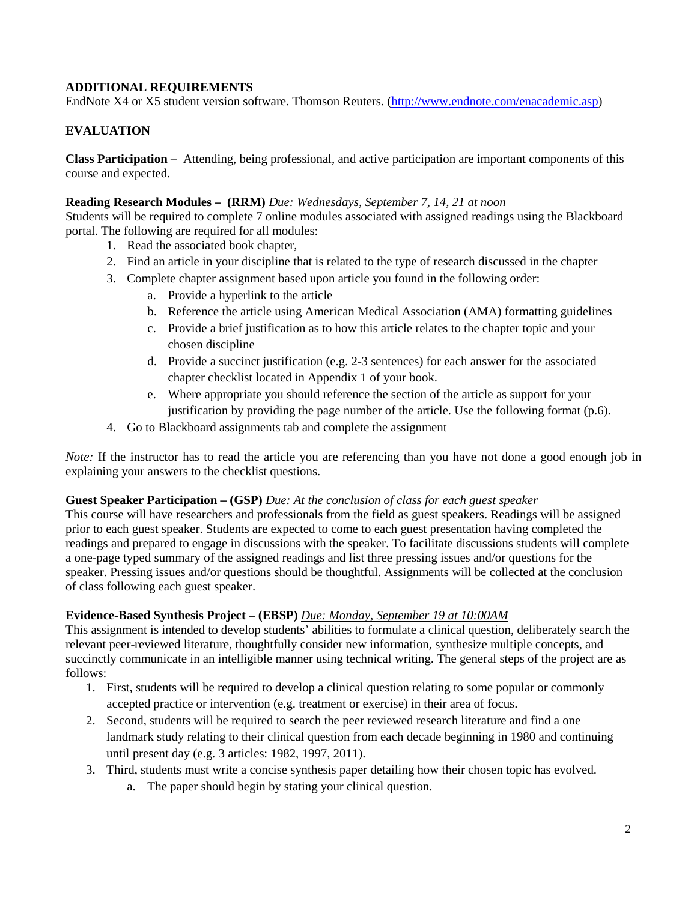## **ADDITIONAL REQUIREMENTS**

EndNote X4 or X5 student version software. [Thomson Reuters.](http://www.academicsuperstore.com/products/Thomson+Reuters) [\(http://www.endnote.com/enacademic.asp\)](http://www.endnote.com/enacademic.asp)

## **EVALUATION**

**Class Participation –** Attending, being professional, and active participation are important components of this course and expected.

### **Reading Research Modules – (RRM)** *Due: Wednesdays, September 7, 14, 21 at noon*

Students will be required to complete 7 online modules associated with assigned readings using the Blackboard portal. The following are required for all modules:

- 1. Read the associated book chapter,
- 2. Find an article in your discipline that is related to the type of research discussed in the chapter
- 3. Complete chapter assignment based upon article you found in the following order:
	- a. Provide a hyperlink to the article
	- b. Reference the article using American Medical Association (AMA) formatting guidelines
	- c. Provide a brief justification as to how this article relates to the chapter topic and your chosen discipline
	- d. Provide a succinct justification (e.g. 2-3 sentences) for each answer for the associated chapter checklist located in Appendix 1 of your book.
	- e. Where appropriate you should reference the section of the article as support for your justification by providing the page number of the article. Use the following format (p.6).
- 4. Go to Blackboard assignments tab and complete the assignment

*Note:* If the instructor has to read the article you are referencing than you have not done a good enough job in explaining your answers to the checklist questions.

### **Guest Speaker Participation – (GSP)** *Due: At the conclusion of class for each guest speaker*

This course will have researchers and professionals from the field as guest speakers. Readings will be assigned prior to each guest speaker. Students are expected to come to each guest presentation having completed the readings and prepared to engage in discussions with the speaker. To facilitate discussions students will complete a one-page typed summary of the assigned readings and list three pressing issues and/or questions for the speaker. Pressing issues and/or questions should be thoughtful. Assignments will be collected at the conclusion of class following each guest speaker.

## **Evidence-Based Synthesis Project – (EBSP)** *Due: Monday, September 19 at 10:00AM*

This assignment is intended to develop students' abilities to formulate a clinical question, deliberately search the relevant peer-reviewed literature, thoughtfully consider new information, synthesize multiple concepts, and succinctly communicate in an intelligible manner using technical writing. The general steps of the project are as follows:

- 1. First, students will be required to develop a clinical question relating to some popular or commonly accepted practice or intervention (e.g. treatment or exercise) in their area of focus.
- 2. Second, students will be required to search the peer reviewed research literature and find a one landmark study relating to their clinical question from each decade beginning in 1980 and continuing until present day (e.g. 3 articles: 1982, 1997, 2011).
- 3. Third, students must write a concise synthesis paper detailing how their chosen topic has evolved.
	- a. The paper should begin by stating your clinical question.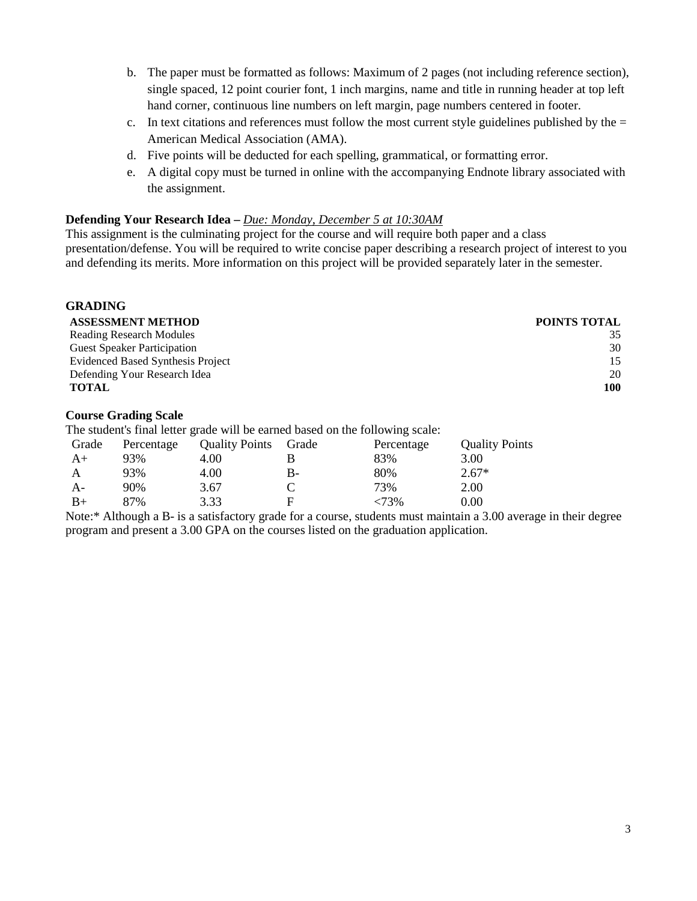- b. The paper must be formatted as follows: Maximum of 2 pages (not including reference section), single spaced, 12 point courier font, 1 inch margins, name and title in running header at top left hand corner, continuous line numbers on left margin, page numbers centered in footer.
- c. In text citations and references must follow the most current style guidelines published by the  $=$ American Medical Association (AMA).
- d. Five points will be deducted for each spelling, grammatical, or formatting error.
- e. A digital copy must be turned in online with the accompanying Endnote library associated with the assignment.

#### **Defending Your Research Idea –** *Due: Monday, December 5 at 10:30AM*

This assignment is the culminating project for the course and will require both paper and a class presentation/defense. You will be required to write concise paper describing a research project of interest to you and defending its merits. More information on this project will be provided separately later in the semester.

| uradiru                            |                     |
|------------------------------------|---------------------|
| <b>ASSESSMENT METHOD</b>           | <b>POINTS TOTAL</b> |
| <b>Reading Research Modules</b>    | 35                  |
| <b>Guest Speaker Participation</b> | 30                  |
| Evidenced Based Synthesis Project  | 15                  |
| Defending Your Research Idea       | 20                  |
| <b>TOTAL</b>                       | 100                 |
|                                    |                     |

#### **Course Grading Scale**

**GRADING**

The student's final letter grade will be earned based on the following scale:

| Grade | Percentage | <b>Quality Points</b> | Grade | Percentage | <b>Quality Points</b> |
|-------|------------|-----------------------|-------|------------|-----------------------|
| $A+$  | 93%        | 4.00                  |       | 83%        | 3.00                  |
|       | 93%        | 4.00                  | B-    | 80%        | $2.67*$               |
| A-    | 90%        | 3.67                  |       | 73%        | 2.00                  |
| $B+$  | 87%        | 3.33                  | E     | 73%>       | 0.00                  |

Note:\* Although a B- is a satisfactory grade for a course, students must maintain a 3.00 average in their degree program and present a 3.00 GPA on the courses listed on the graduation application.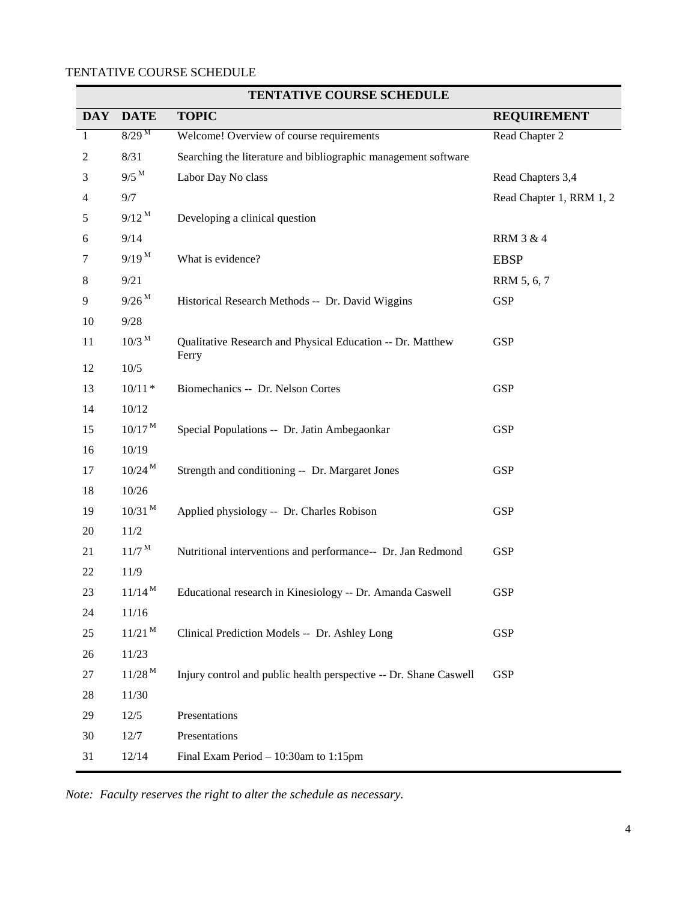# TENTATIVE COURSE SCHEDULE

|                |                      | TERIAITVE COURSE SCHEDULE                                           |                          |
|----------------|----------------------|---------------------------------------------------------------------|--------------------------|
| <b>DAY</b>     | <b>DATE</b>          | <b>TOPIC</b>                                                        | <b>REQUIREMENT</b>       |
| $\mathbf{1}$   | $8/29^{M}$           | Welcome! Overview of course requirements                            | Read Chapter 2           |
| $\overline{2}$ | 8/31                 | Searching the literature and bibliographic management software      |                          |
| 3              | $9/5$ <sup>M</sup>   | Labor Day No class                                                  | Read Chapters 3,4        |
| 4              | 9/7                  |                                                                     | Read Chapter 1, RRM 1, 2 |
| 5              | $9/12^M$             | Developing a clinical question                                      |                          |
| 6              | 9/14                 |                                                                     | <b>RRM 3 &amp; 4</b>     |
| 7              | $9/19^{M}$           | What is evidence?                                                   | <b>EBSP</b>              |
| 8              | 9/21                 |                                                                     | RRM 5, 6, 7              |
| 9              | $9/26^M$             | Historical Research Methods -- Dr. David Wiggins                    | <b>GSP</b>               |
| 10             | $9/28$               |                                                                     |                          |
| 11             | $10/3$ <sup>M</sup>  | Qualitative Research and Physical Education -- Dr. Matthew<br>Ferry | <b>GSP</b>               |
| 12             | $10/5$               |                                                                     |                          |
| 13             | $10/11 *$            | Biomechanics -- Dr. Nelson Cortes                                   | <b>GSP</b>               |
| 14             | $10/12$              |                                                                     |                          |
| 15             | $10/17^{\rm M}$      | Special Populations -- Dr. Jatin Ambegaonkar                        | <b>GSP</b>               |
| 16             | 10/19                |                                                                     |                          |
| 17             | $10/24^{\rm M}$      | Strength and conditioning -- Dr. Margaret Jones                     | <b>GSP</b>               |
| 18             | 10/26                |                                                                     |                          |
| 19             | $10/31$ <sup>M</sup> | Applied physiology -- Dr. Charles Robison                           | <b>GSP</b>               |
| 20             | $11/2$               |                                                                     |                          |
| 21             | $11/7^{\mathrm{M}}$  | Nutritional interventions and performance-- Dr. Jan Redmond         | <b>GSP</b>               |
| 22             | 11/9                 |                                                                     |                          |
| 23             | $11/14^M$            | Educational research in Kinesiology -- Dr. Amanda Caswell           | <b>GSP</b>               |
| 24             | 11/16                |                                                                     |                          |
| 25             | $11/21$ <sup>M</sup> | Clinical Prediction Models -- Dr. Ashley Long                       | <b>GSP</b>               |
| 26             | 11/23                |                                                                     |                          |
| 27             | $11/28^M$            | Injury control and public health perspective -- Dr. Shane Caswell   | <b>GSP</b>               |
| 28             | 11/30                |                                                                     |                          |
| 29             | 12/5                 | Presentations                                                       |                          |
| 30             | 12/7                 | Presentations                                                       |                          |
| 31             | 12/14                | Final Exam Period $-10:30$ am to 1:15pm                             |                          |

## **TENTATIVE COURSE SCHEDULE**

*Note: Faculty reserves the right to alter the schedule as necessary.*